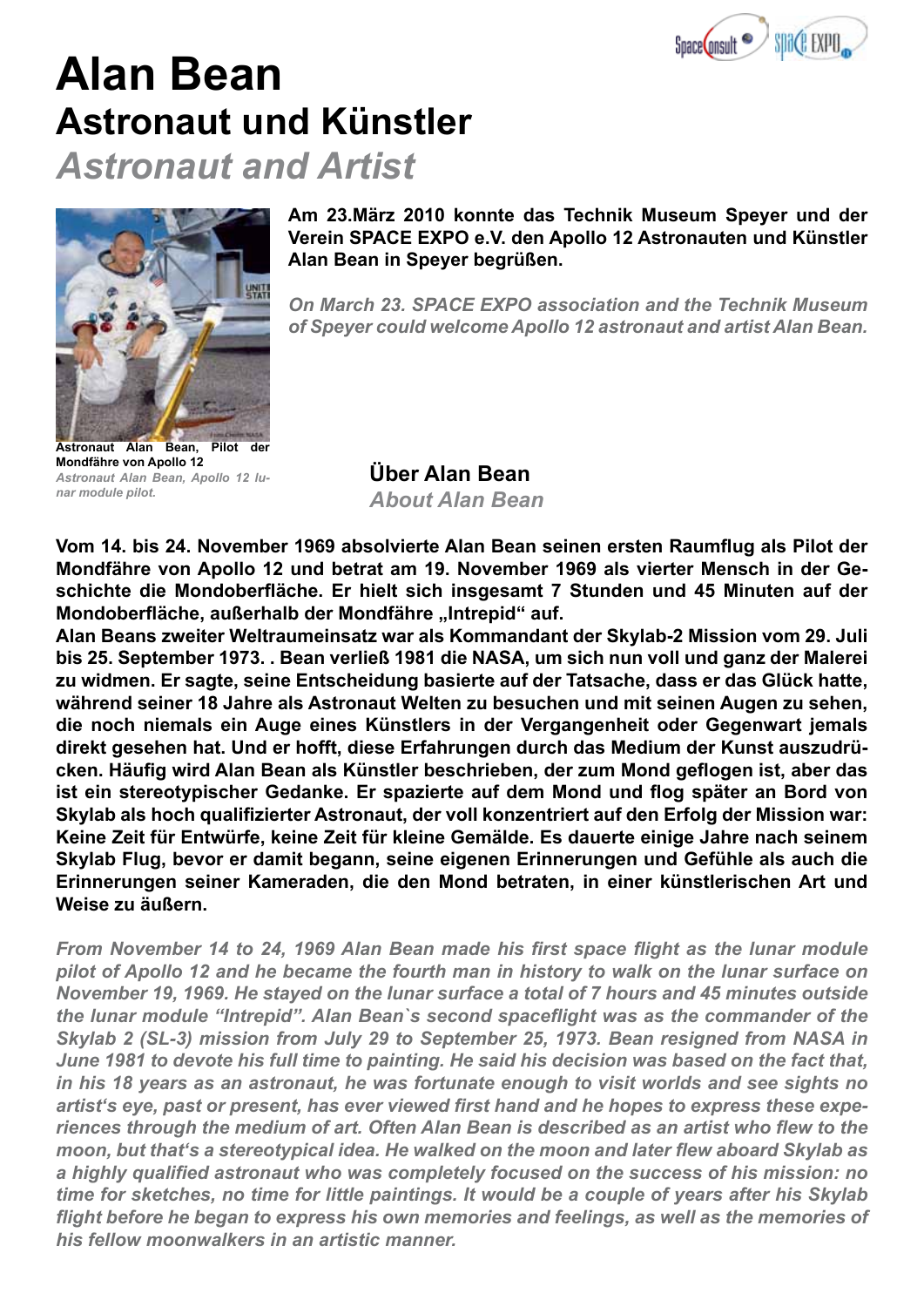

## **Alan Bean Astronaut und Künstler**

*Astronaut and Artist*



**Am 23.März 2010 konnte das Technik Museum Speyer und der Verein SPACE EXPO e.V. den Apollo 12 Astronauten und Künstler Alan Bean in Speyer begrüßen.**

*On March 23. SPACE EXPO association and the Technik Museum of Speyer could welcome Apollo 12 astronaut and artist Alan Bean.*

**Astronaut Alan Bean, Pilot der Mondfähre von Apollo 12** *Astronaut Alan Bean, Apollo 12 lunar module pilot.*

**Über Alan Bean** *About Alan Bean*

**Vom 14. bis 24. November 1969 absolvierte Alan Bean seinen ersten Raumflug als Pilot der Mondfähre von Apollo 12 und betrat am 19. November 1969 als vierter Mensch in der Geschichte die Mondoberfläche. Er hielt sich insgesamt 7 Stunden und 45 Minuten auf der**  Mondoberfläche, außerhalb der Mondfähre "Intrepid" auf.

**Alan Beans zweiter Weltraumeinsatz war als Kommandant der Skylab-2 Mission vom 29. Juli bis 25. September 1973. . Bean verließ 1981 die NASA, um sich nun voll und ganz der Malerei zu widmen. Er sagte, seine Entscheidung basierte auf der Tatsache, dass er das Glück hatte, während seiner 18 Jahre als Astronaut Welten zu besuchen und mit seinen Augen zu sehen, die noch niemals ein Auge eines Künstlers in der Vergangenheit oder Gegenwart jemals direkt gesehen hat. Und er hofft, diese Erfahrungen durch das Medium der Kunst auszudrücken. Häufig wird Alan Bean als Künstler beschrieben, der zum Mond geflogen ist, aber das ist ein stereotypischer Gedanke. Er spazierte auf dem Mond und flog später an Bord von Skylab als hoch qualifizierter Astronaut, der voll konzentriert auf den Erfolg der Mission war: Keine Zeit für Entwürfe, keine Zeit für kleine Gemälde. Es dauerte einige Jahre nach seinem Skylab Flug, bevor er damit begann, seine eigenen Erinnerungen und Gefühle als auch die Erinnerungen seiner Kameraden, die den Mond betraten, in einer künstlerischen Art und Weise zu äußern.**

*From November 14 to 24, 1969 Alan Bean made his first space flight as the lunar module pilot of Apollo 12 and he became the fourth man in history to walk on the lunar surface on November 19, 1969. He stayed on the lunar surface a total of 7 hours and 45 minutes outside the lunar module "Intrepid". Alan Bean`s second spaceflight was as the commander of the Skylab 2 (SL-3) mission from July 29 to September 25, 1973. Bean resigned from NASA in June 1981 to devote his full time to painting. He said his decision was based on the fact that, in his 18 years as an astronaut, he was fortunate enough to visit worlds and see sights no artist's eye, past or present, has ever viewed first hand and he hopes to express these experiences through the medium of art. Often Alan Bean is described as an artist who flew to the moon, but that's a stereotypical idea. He walked on the moon and later flew aboard Skylab as a highly qualified astronaut who was completely focused on the success of his mission: no time for sketches, no time for little paintings. It would be a couple of years after his Skylab flight before he began to express his own memories and feelings, as well as the memories of his fellow moonwalkers in an artistic manner.*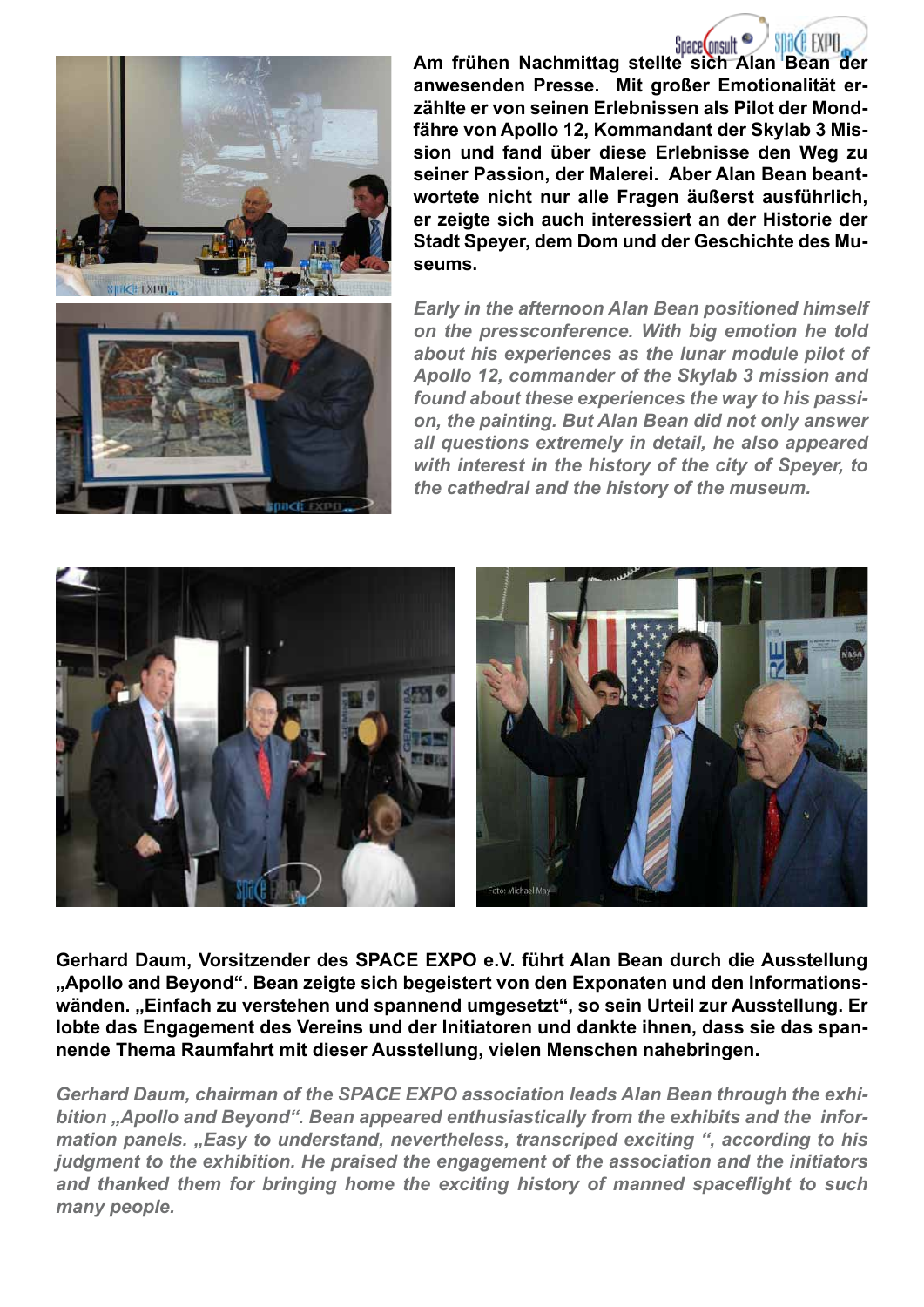

Space Consult **Am frühen Nachmittag stellte sich Alan Bean der anwesenden Presse. Mit großer Emotionalität erzählte er von seinen Erlebnissen als Pilot der Mondfähre von Apollo 12, Kommandant der Skylab 3 Mission und fand über diese Erlebnisse den Weg zu seiner Passion, der Malerei. Aber Alan Bean beantwortete nicht nur alle Fragen äußerst ausführlich, er zeigte sich auch interessiert an der Historie der Stadt Speyer, dem Dom und der Geschichte des Museums.**

*Early in the afternoon Alan Bean positioned himself on the pressconference. With big emotion he told about his experiences as the lunar module pilot of Apollo 12, commander of the Skylab 3 mission and found about these experiences the way to his passion, the painting. But Alan Bean did not only answer all questions extremely in detail, he also appeared with interest in the history of the city of Speyer, to the cathedral and the history of the museum.* 



**Gerhard Daum, Vorsitzender des SPACE EXPO e.V. führt Alan Bean durch die Ausstellung "Apollo and Beyond". Bean zeigte sich begeistert von den Exponaten und den Informations**wänden. "Einfach zu verstehen und spannend umgesetzt", so sein Urteil zur Ausstellung. Er **lobte das Engagement des Vereins und der Initiatoren und dankte ihnen, dass sie das spannende Thema Raumfahrt mit dieser Ausstellung, vielen Menschen nahebringen.**

*Gerhard Daum, chairman of the SPACE EXPO association leads Alan Bean through the exhibition "Apollo and Beyond". Bean appeared enthusiastically from the exhibits and the information panels. "Easy to understand, nevertheless, transcriped exciting ", according to his judgment to the exhibition. He praised the engagement of the association and the initiators and thanked them for bringing home the exciting history of manned spaceflight to such many people.*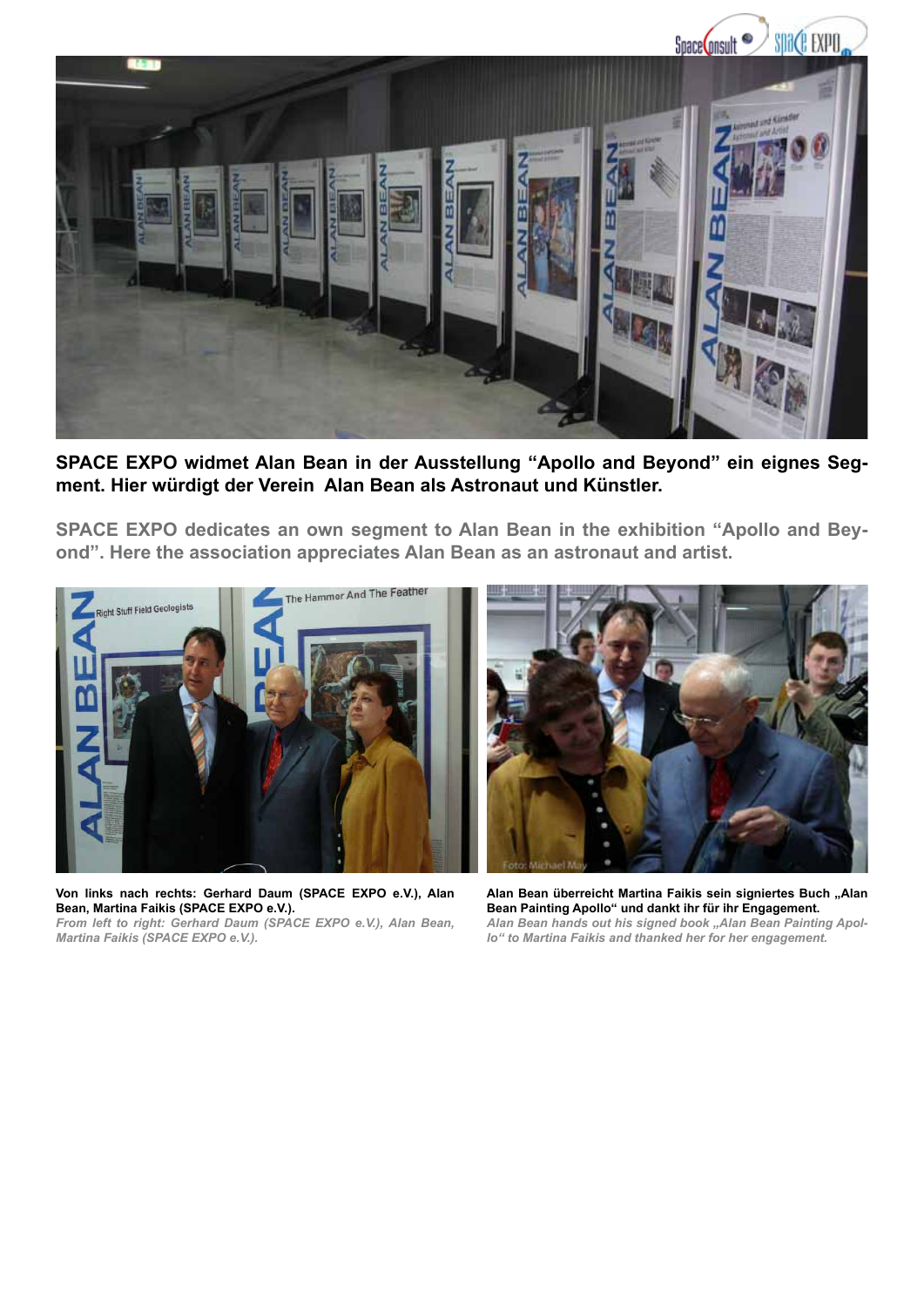

**SPACE EXPO widmet Alan Bean in der Ausstellung "Apollo and Beyond" ein eignes Segment. Hier würdigt der Verein Alan Bean als Astronaut und Künstler.** 

**SPACE EXPO dedicates an own segment to Alan Bean in the exhibition "Apollo and Beyond". Here the association appreciates Alan Bean as an astronaut and artist.**



**Von links nach rechts: Gerhard Daum (SPACE EXPO e.V.), Alan Bean, Martina Faikis (SPACE EXPO e.V.).** *From left to right: Gerhard Daum (SPACE EXPO e.V.), Alan Bean, Martina Faikis (SPACE EXPO e.V.).*



Alan Bean überreicht Martina Faikis sein signiertes Buch "Alan **Bean Painting Apollo" und dankt ihr für ihr Engagement.** Alan Bean hands out his signed book "Alan Bean Painting Apol*lo" to Martina Faikis and thanked her for her engagement.*